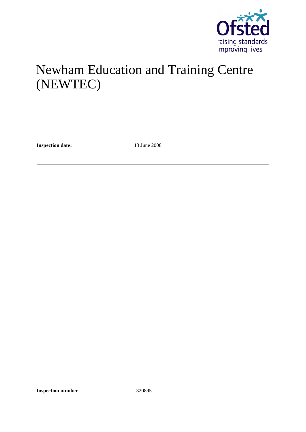

# Newham Education and Training Centre (NEWTEC)

**Inspection date:** 13 June 2008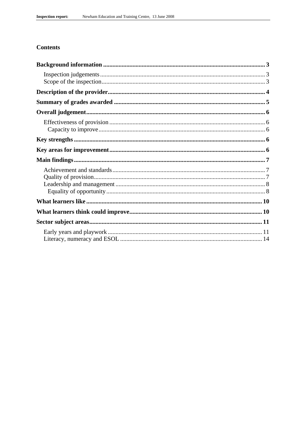## **Contents**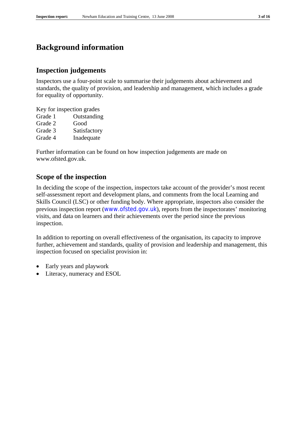## **Background information**

## **Inspection judgements**

Inspectors use a four-point scale to summarise their judgements about achievement and standards, the quality of provision, and leadership and management, which includes a grade for equality of opportunity.

Key for inspection grades Grade 1 Outstanding Grade 2 Good Grade 3 Satisfactory Grade 4 Inadequate

Further information can be found on how inspection judgements are made on www.ofsted.gov.uk.

## **Scope of the inspection**

In deciding the scope of the inspection, inspectors take account of the provider's most recent self-assessment report and development plans, and comments from the local Learning and Skills Council (LSC) or other funding body. Where appropriate, inspectors also consider the previous inspection report (www.ofsted.gov.uk), reports from the inspectorates' monitoring visits, and data on learners and their achievements over the period since the previous inspection.

In addition to reporting on overall effectiveness of the organisation, its capacity to improve further, achievement and standards, quality of provision and leadership and management, this inspection focused on specialist provision in:

- Early years and playwork
- Literacy, numeracy and ESOL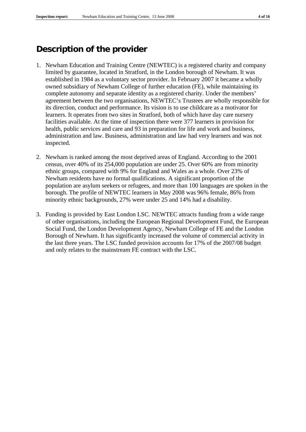## **Description of the provider**

- 1. Newham Education and Training Centre (NEWTEC) is a registered charity and company limited by guarantee, located in Stratford, in the London borough of Newham. It was established in 1984 as a voluntary sector provider. In February 2007 it became a wholly owned subsidiary of Newham College of further education (FE), while maintaining its complete autonomy and separate identity as a registered charity. Under the members' agreement between the two organisations, NEWTEC's Trustees are wholly responsible for its direction, conduct and performance. Its vision is to use childcare as a motivator for learners. It operates from two sites in Stratford, both of which have day care nursery facilities available. At the time of inspection there were 377 learners in provision for health, public services and care and 93 in preparation for life and work and business, administration and law. Business, administration and law had very learners and was not inspected.
- 2. Newham is ranked among the most deprived areas of England. According to the 2001 census, over 40% of its 254,000 population are under 25. Over 60% are from minority ethnic groups, compared with 9% for England and Wales as a whole. Over 23% of Newham residents have no formal qualifications. A significant proportion of the population are asylum seekers or refugees, and more than 100 languages are spoken in the borough. The profile of NEWTEC learners in May 2008 was 96% female, 86% from minority ethnic backgrounds, 27% were under 25 and 14% had a disability.
- 3. Funding is provided by East London LSC. NEWTEC attracts funding from a wide range of other organisations, including the European Regional Development Fund, the European Social Fund, the London Development Agency, Newham College of FE and the London Borough of Newham. It has significantly increased the volume of commercial activity in the last three years. The LSC funded provision accounts for 17% of the 2007/08 budget and only relates to the mainstream FE contract with the LSC.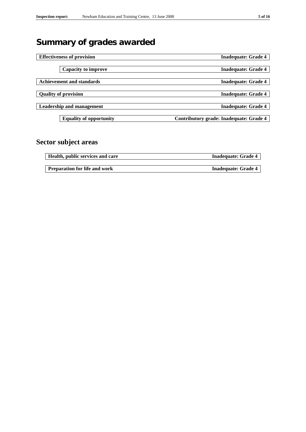## **Summary of grades awarded**

| <b>Effectiveness of provision</b> | <b>Inadequate: Grade 4</b>              |
|-----------------------------------|-----------------------------------------|
|                                   |                                         |
| <b>Capacity to improve</b>        | <b>Inadequate: Grade 4</b>              |
|                                   |                                         |
| <b>Achievement and standards</b>  | <b>Inadequate: Grade 4</b>              |
|                                   |                                         |
| <b>Quality of provision</b>       | <b>Inadequate: Grade 4</b>              |
|                                   |                                         |
| <b>Leadership and management</b>  | <b>Inadequate: Grade 4</b>              |
|                                   |                                         |
| <b>Equality of opportunity</b>    | Contributory grade: Inadequate: Grade 4 |
|                                   |                                         |

## **Sector subject areas**

| Health, public services and care     | <b>Inadequate: Grade 4</b> |
|--------------------------------------|----------------------------|
|                                      |                            |
| <b>Preparation for life and work</b> | <b>Inadequate: Grade 4</b> |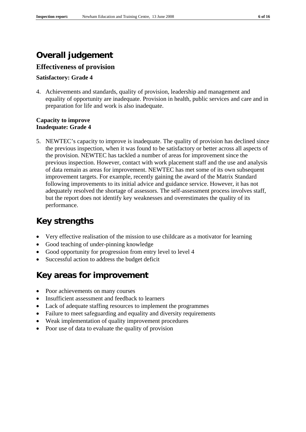## **Overall judgement**

## **Effectiveness of provision**

## **Satisfactory: Grade 4**

4. Achievements and standards, quality of provision, leadership and management and equality of opportunity are inadequate. Provision in health, public services and care and in preparation for life and work is also inadequate.

### **Capacity to improve Inadequate: Grade 4**

5. NEWTEC's capacity to improve is inadequate. The quality of provision has declined since the previous inspection, when it was found to be satisfactory or better across all aspects of the provision. NEWTEC has tackled a number of areas for improvement since the previous inspection. However, contact with work placement staff and the use and analysis of data remain as areas for improvement. NEWTEC has met some of its own subsequent improvement targets. For example, recently gaining the award of the Matrix Standard following improvements to its initial advice and guidance service. However, it has not adequately resolved the shortage of assessors. The self-assessment process involves staff, but the report does not identify key weaknesses and overestimates the quality of its performance.

## **Key strengths**

- Very effective realisation of the mission to use childcare as a motivator for learning
- Good teaching of under-pinning knowledge
- Good opportunity for progression from entry level to level 4
- Successful action to address the budget deficit

## **Key areas for improvement**

- Poor achievements on many courses
- Insufficient assessment and feedback to learners
- Lack of adequate staffing resources to implement the programmes
- Failure to meet safeguarding and equality and diversity requirements
- Weak implementation of quality improvement procedures
- Poor use of data to evaluate the quality of provision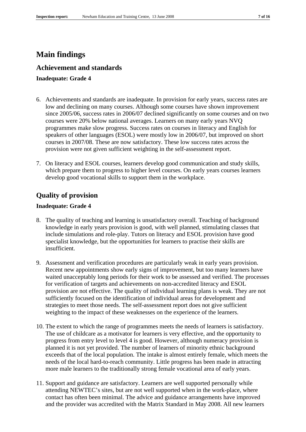## **Main findings**

## **Achievement and standards**

### **Inadequate: Grade 4**

- 6. Achievements and standards are inadequate. In provision for early years, success rates are low and declining on many courses. Although some courses have shown improvement since 2005/06, success rates in 2006/07 declined significantly on some courses and on two courses were 20% below national averages. Learners on many early years NVQ programmes make slow progress. Success rates on courses in literacy and English for speakers of other languages (ESOL) were mostly low in 2006/07, but improved on short courses in 2007/08. These are now satisfactory. These low success rates across the provision were not given sufficient weighting in the self-assessment report.
- 7. On literacy and ESOL courses, learners develop good communication and study skills, which prepare them to progress to higher level courses. On early years courses learners develop good vocational skills to support them in the workplace.

## **Quality of provision**

### **Inadequate: Grade 4**

- 8. The quality of teaching and learning is unsatisfactory overall. Teaching of background knowledge in early years provision is good, with well planned, stimulating classes that include simulations and role-play. Tutors on literacy and ESOL provision have good specialist knowledge, but the opportunities for learners to practise their skills are insufficient.
- 9. Assessment and verification procedures are particularly weak in early years provision. Recent new appointments show early signs of improvement, but too many learners have waited unacceptably long periods for their work to be assessed and verified. The processes for verification of targets and achievements on non-accredited literacy and ESOL provision are not effective. The quality of individual learning plans is weak. They are not sufficiently focused on the identification of individual areas for development and strategies to meet those needs. The self-assessment report does not give sufficient weighting to the impact of these weaknesses on the experience of the learners.
- 10. The extent to which the range of programmes meets the needs of learners is satisfactory. The use of childcare as a motivator for learners is very effective, and the opportunity to progress from entry level to level 4 is good. However, although numeracy provision is planned it is not yet provided. The number of learners of minority ethnic background exceeds that of the local population. The intake is almost entirely female, which meets the needs of the local hard-to-reach community. Little progress has been made in attracting more male learners to the traditionally strong female vocational area of early years.
- 11. Support and guidance are satisfactory. Learners are well supported personally while attending NEWTEC's sites, but are not well supported when in the work-place, where contact has often been minimal. The advice and guidance arrangements have improved and the provider was accredited with the Matrix Standard in May 2008. All new learners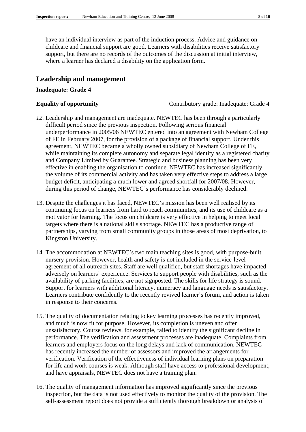have an individual interview as part of the induction process. Advice and guidance on childcare and financial support are good. Learners with disabilities receive satisfactory support, but there are no records of the outcomes of the discussion at initial interview, where a learner has declared a disability on the application form.

## **Leadership and management**

#### **Inadequate: Grade 4**

**Equality of opportunity** Contributory grade: Inadequate: Grade 4

- *12.* Leadership and management are inadequate. NEWTEC has been through a particularly difficult period since the previous inspection. Following serious financial underperformance in 2005/06 NEWTEC entered into an agreement with Newham College of FE in February 2007, for the provision of a package of financial support. Under this agreement, NEWTEC became a wholly owned subsidiary of Newham College of FE, while maintaining its complete autonomy and separate legal identity as a registered charity and Company Limited by Guarantee. Strategic and business planning has been very effective in enabling the organisation to continue. NEWTEC has increased significantly the volume of its commercial activity and has taken very effective steps to address a large budget deficit, anticipating a much lower and agreed shortfall for 2007/08. However, during this period of change, NEWTEC's performance has considerably declined.
- 13. Despite the challenges it has faced, NEWTEC's mission has been well realised by its continuing focus on learners from hard to reach communities, and its use of childcare as a motivator for learning. The focus on childcare is very effective in helping to meet local targets where there is a national skills shortage. NEWTEC has a productive range of partnerships, varying from small community groups in those areas of most deprivation, to Kingston University.
- 14. The accommodation at NEWTEC's two main teaching sites is good, with purpose-built nursery provision. However, health and safety is not included in the service-level agreement of all outreach sites. Staff are well qualified, but staff shortages have impacted adversely on learners' experience. Services to support people with disabilities, such as the availability of parking facilities, are not signposted. The skills for life strategy is sound. Support for learners with additional literacy, numeracy and language needs is satisfactory. Learners contribute confidently to the recently revived learner's forum, and action is taken in response to their concerns.
- 15. The quality of documentation relating to key learning processes has recently improved, and much is now fit for purpose. However, its completion is uneven and often unsatisfactory. Course reviews, for example, failed to identify the significant decline in performance. The verification and assessment processes are inadequate. Complaints from learners and employers focus on the long delays and lack of communication. NEWTEC has recently increased the number of assessors and improved the arrangements for verification. Verification of the effectiveness of individual learning plans on preparation for life and work courses is weak. Although staff have access to professional development, and have appraisals, NEWTEC does not have a training plan.
- 16. The quality of management information has improved significantly since the previous inspection, but the data is not used effectively to monitor the quality of the provision. The self-assessment report does not provide a sufficiently thorough breakdown or analysis of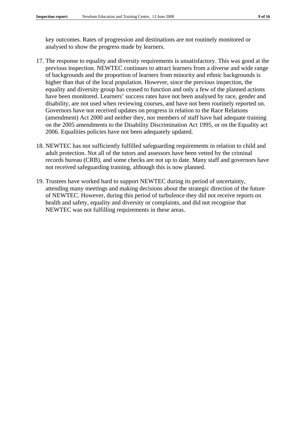key outcomes. Rates of progression and destinations are not routinely monitored or analysed to show the progress made by learners.

- 17. The response to equality and diversity requirements is unsatisfactory. This was good at the previous inspection. NEWTEC continues to attract learners from a diverse and wide range of backgrounds and the proportion of learners from minority and ethnic backgrounds is higher than that of the local population. However, since the previous inspection, the equality and diversity group has ceased to function and only a few of the planned actions have been monitored. Learners' success rates have not been analysed by race, gender and disability, are not used when reviewing courses, and have not been routinely reported on. Governors have not received updates on progress in relation to the Race Relations (amendment) Act 2000 and neither they, nor members of staff have had adequate training on the 2005 amendments to the Disability Discrimination Act 1995, or on the Equality act 2006. Equalities policies have not been adequately updated.
- 18. NEWTEC has not sufficiently fulfilled safeguarding requirements in relation to child and adult protection. Not all of the tutors and assessors have been vetted by the criminal records bureau (CRB), and some checks are not up to date. Many staff and governors have not received safeguarding training, although this is now planned.
- 19. Trustees have worked hard to support NEWTEC during its period of uncertainty, attending many meetings and making decisions about the strategic direction of the future of NEWTEC. However, during this period of turbulence they did not receive reports on health and safety, equality and diversity or complaints, and did not recognise that NEWTEC was not fulfilling requirements in these areas.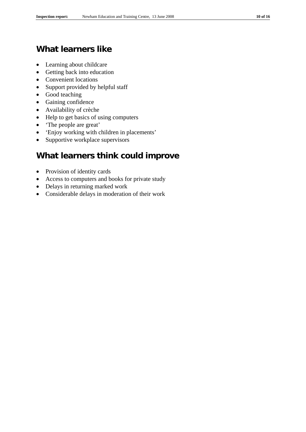## **What learners like**

- Learning about childcare
- Getting back into education
- Convenient locations
- Support provided by helpful staff
- Good teaching
- Gaining confidence
- Availability of crèche
- Help to get basics of using computers
- 'The people are great'
- 'Enjoy working with children in placements'
- Supportive workplace supervisors

## **What learners think could improve**

- Provision of identity cards
- Access to computers and books for private study
- Delays in returning marked work
- Considerable delays in moderation of their work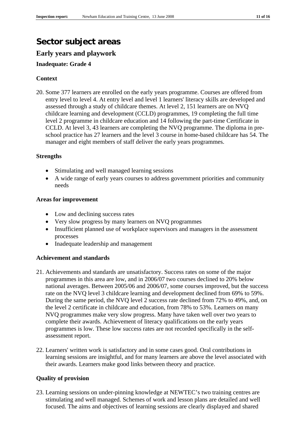# **Sector subject areas**

## **Early years and playwork**

## **Inadequate: Grade 4**

## **Context**

20. Some 377 learners are enrolled on the early years programme. Courses are offered from entry level to level 4. At entry level and level 1 learners' literacy skills are developed and assessed through a study of childcare themes. At level 2, 151 learners are on NVQ childcare learning and development (CCLD) programmes, 19 completing the full time level 2 programme in childcare education and 14 following the part-time Certificate in CCLD. At level 3, 43 learners are completing the NVQ programme. The diploma in preschool practice has 27 learners and the level 3 course in home-based childcare has 54. The manager and eight members of staff deliver the early years programmes.

## **Strengths**

- Stimulating and well managed learning sessions
- A wide range of early years courses to address government priorities and community needs

## **Areas for improvement**

- Low and declining success rates
- Very slow progress by many learners on NVQ programmes
- Insufficient planned use of workplace supervisors and managers in the assessment processes
- Inadequate leadership and management

## **Achievement and standards**

- 21. Achievements and standards are unsatisfactory. Success rates on some of the major programmes in this area are low, and in 2006/07 two courses declined to 20% below national averages. Between 2005/06 and 2006/07, some courses improved, but the success rate on the NVQ level 3 childcare learning and development declined from 69% to 59%. During the same period, the NVQ level 2 success rate declined from 72% to 49%, and, on the level 2 certificate in childcare and education, from 78% to 53%. Learners on many NVQ programmes make very slow progress. Many have taken well over two years to complete their awards. Achievement of literacy qualifications on the early years programmes is low. These low success rates are not recorded specifically in the selfassessment report.
- 22. Learners' written work is satisfactory and in some cases good. Oral contributions in learning sessions are insightful, and for many learners are above the level associated with their awards. Learners make good links between theory and practice.

## **Quality of provision**

23. Learning sessions on under-pinning knowledge at NEWTEC's two training centres are stimulating and well managed. Schemes of work and lesson plans are detailed and well focused. The aims and objectives of learning sessions are clearly displayed and shared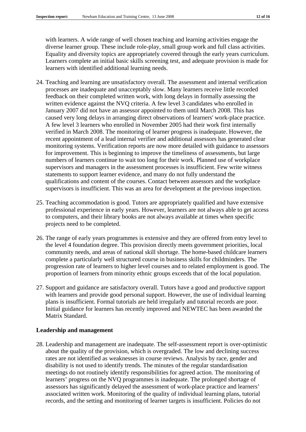with learners. A wide range of well chosen teaching and learning activities engage the diverse learner group. These include role-play, small group work and full class activities. Equality and diversity topics are appropriately covered through the early years curriculum. Learners complete an initial basic skills screening test, and adequate provision is made for learners with identified additional learning needs.

- 24. Teaching and learning are unsatisfactory overall. The assessment and internal verification processes are inadequate and unacceptably slow. Many learners receive little recorded feedback on their completed written work, with long delays in formally assessing the written evidence against the NVQ criteria. A few level 3 candidates who enrolled in January 2007 did not have an assessor appointed to them until March 2008. This has caused very long delays in arranging direct observations of learners' work-place practice. A few level 3 learners who enrolled in November 2005 had their work first internally verified in March 2008. The monitoring of learner progress is inadequate. However, the recent appointment of a lead internal verifier and additional assessors has generated clear monitoring systems. Verification reports are now more detailed with guidance to assessors for improvement. This is beginning to improve the timeliness of assessments, but large numbers of learners continue to wait too long for their work. Planned use of workplace supervisors and managers in the assessment processes is insufficient. Few write witness statements to support learner evidence, and many do not fully understand the qualifications and content of the courses. Contact between assessors and the workplace supervisors is insufficient. This was an area for development at the previous inspection.
- 25. Teaching accommodation is good. Tutors are appropriately qualified and have extensive professional experience in early years. However, learners are not always able to get access to computers, and their library books are not always available at times when specific projects need to be completed.
- 26. The range of early years programmes is extensive and they are offered from entry level to the level 4 foundation degree. This provision directly meets government priorities, local community needs, and areas of national skill shortage. The home-based childcare learners complete a particularly well structured course in business skills for childminders. The progression rate of learners to higher level courses and to related employment is good. The proportion of learners from minority ethnic groups exceeds that of the local population.
- 27. Support and guidance are satisfactory overall. Tutors have a good and productive rapport with learners and provide good personal support. However, the use of individual learning plans is insufficient. Formal tutorials are held irregularly and tutorial records are poor. Initial guidance for learners has recently improved and NEWTEC has been awarded the Matrix Standard.

## **Leadership and management**

28. Leadership and management are inadequate. The self-assessment report is over-optimistic about the quality of the provision, which is overgraded. The low and declining success rates are not identified as weaknesses in course reviews. Analysis by race, gender and disability is not used to identify trends. The minutes of the regular standardisation meetings do not routinely identify responsibilities for agreed action. The monitoring of learners' progress on the NVQ programmes is inadequate. The prolonged shortage of assessors has significantly delayed the assessment of work-place practice and learners' associated written work. Monitoring of the quality of individual learning plans, tutorial records, and the setting and monitoring of learner targets is insufficient. Policies do not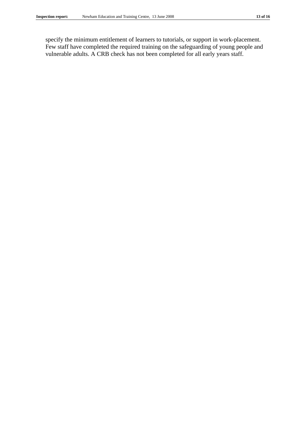specify the minimum entitlement of learners to tutorials, or support in work-placement. Few staff have completed the required training on the safeguarding of young people and vulnerable adults. A CRB check has not been completed for all early years staff.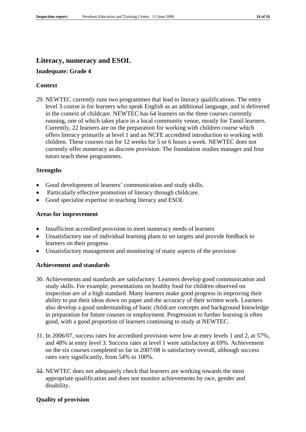## **Literacy, numeracy and ESOL**

## **Inadequate: Grade 4**

### **Context**

29. NEWTEC currently runs two programmes that lead to literacy qualifications. The entry level 3 course is for learners who speak English as an additional language, and is delivered in the context of childcare. NEWTEC has 64 learners on the three courses currently running, one of which takes place in a local community venue, mostly for Tamil learners. Currently, 22 learners are on the preparation for working with children course which offers literacy primarily at level 1 and an NCFE accredited introduction to working with children. These courses run for 12 weeks for 5 or 6 hours a week. NEWTEC does not currently offer numeracy as discrete provision. The foundation studies manager and four tutors teach these programmes.

#### **Strengths**

- Good development of learners' communication and study skills.
- Particularly effective promotion of literacy through childcare.
- Good specialist expertise in teaching literacy and ESOL

#### **Areas for improvement**

- Insufficient accredited provision to meet numeracy needs of learners
- Unsatisfactory use of individual learning plans to set targets and provide feedback to learners on their progress
- Unsatisfactory management and monitoring of many aspects of the provision

#### **Achievement and standards**

- 30. Achievements and standards are satisfactory. Learners develop good communication and study skills. For example, presentations on healthy food for children observed on inspection are of a high standard. Many learners make good progress in improving their ability to put their ideas down on paper and the accuracy of their written work. Learners also develop a good understanding of basic childcare concepts and background knowledge in preparation for future courses or employment. Progression to further learning is often good, with a good proportion of learners continuing to study at NEWTEC.
- 31. In 2006/07, success rates for accredited provision were low at entry levels 1 and 2, at 57%, and 48% at entry level 3. Success rates at level 1 were satisfactory at 69%. Achievement on the six courses completed so far in 2007/08 is satisfactory overall, although success rates vary significantly, from 54% to 100%.
- 32. NEWTEC does not adequately check that learners are working towards the most appropriate qualification and does not monitor achievements by race, gender and disability.

#### **Quality of provision**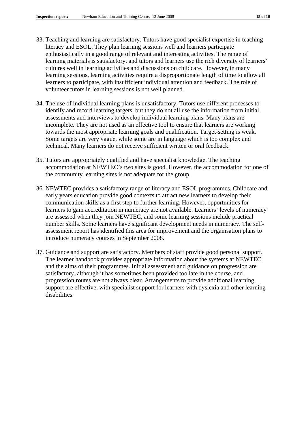- 33. Teaching and learning are satisfactory. Tutors have good specialist expertise in teaching literacy and ESOL. They plan learning sessions well and learners participate enthusiastically in a good range of relevant and interesting activities. The range of learning materials is satisfactory, and tutors and learners use the rich diversity of learners' cultures well in learning activities and discussions on childcare. However, in many learning sessions, learning activities require a disproportionate length of time to allow all learners to participate, with insufficient individual attention and feedback. The role of volunteer tutors in learning sessions is not well planned.
- 34. The use of individual learning plans is unsatisfactory. Tutors use different processes to identify and record learning targets, but they do not all use the information from initial assessments and interviews to develop individual learning plans. Many plans are incomplete. They are not used as an effective tool to ensure that learners are working towards the most appropriate learning goals and qualification. Target-setting is weak. Some targets are very vague, while some are in language which is too complex and technical. Many learners do not receive sufficient written or oral feedback.
- 35. Tutors are appropriately qualified and have specialist knowledge. The teaching accommodation at NEWTEC's two sites is good. However, the accommodation for one of the community learning sites is not adequate for the group.
- 36. NEWTEC provides a satisfactory range of literacy and ESOL programmes. Childcare and early years education provide good contexts to attract new learners to develop their communication skills as a first step to further learning. However, opportunities for learners to gain accreditation in numeracy are not available. Learners' levels of numeracy are assessed when they join NEWTEC, and some learning sessions include practical number skills. Some learners have significant development needs in numeracy. The selfassessment report has identified this area for improvement and the organisation plans to introduce numeracy courses in September 2008.
- 37. Guidance and support are satisfactory. Members of staff provide good personal support. The learner handbook provides appropriate information about the systems at NEWTEC and the aims of their programmes. Initial assessment and guidance on progression are satisfactory, although it has sometimes been provided too late in the course, and progression routes are not always clear. Arrangements to provide additional learning support are effective, with specialist support for learners with dyslexia and other learning disabilities.